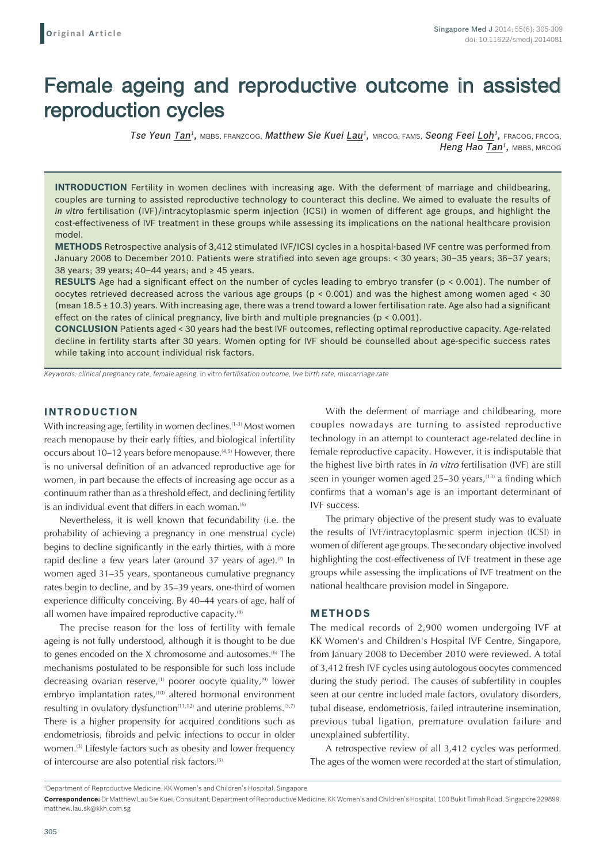# Female ageing and reproductive outcome in assisted reproduction cycles

*Tse Yeun Tan1,* MBBS, FRANZCOG, *Matthew Sie Kuei Lau1,* MRCOG, FAMS, *Seong Feei Loh1,* FRACOG, FRCOG, **Heng Hao Tan<sup>1</sup>**, MBBS, MRCOG

**INTRODUCTION** Fertility in women declines with increasing age. With the deferment of marriage and childbearing, couples are turning to assisted reproductive technology to counteract this decline. We aimed to evaluate the results of *in vitro* fertilisation (IVF)/intracytoplasmic sperm injection (ICSI) in women of different age groups, and highlight the cost-effectiveness of IVF treatment in these groups while assessing its implications on the national healthcare provision model.

**METHODS** Retrospective analysis of 3,412 stimulated IVF/ICSI cycles in a hospital-based IVF centre was performed from January 2008 to December 2010. Patients were stratified into seven age groups: < 30 years; 30–35 years; 36–37 years; 38 years; 39 years; 40–44 years; and  $\geq$  45 years.

**RESULTS** Age had a significant effect on the number of cycles leading to embryo transfer (p < 0.001). The number of oocytes retrieved decreased across the various age groups (p < 0.001) and was the highest among women aged < 30 (mean 18.5 ± 10.3) years. With increasing age, there was a trend toward a lower fertilisation rate. Age also had a significant effect on the rates of clinical pregnancy, live birth and multiple pregnancies (p < 0.001).

**CONCLUSION** Patients aged < 30 years had the best IVF outcomes, reflecting optimal reproductive capacity. Age-related decline in fertility starts after 30 years. Women opting for IVF should be counselled about age-specific success rates while taking into account individual risk factors.

*Keywords: clinical pregnancy rate, female ageing,* in vitro *fertilisation outcome, live birth rate, miscarriage rate*

## **INTRODUCTION**

With increasing age, fertility in women declines.<sup>(1-3)</sup> Most women reach menopause by their early fifties, and biological infertility occurs about 10–12 years before menopause.<sup>(4,5)</sup> However, there is no universal definition of an advanced reproductive age for women, in part because the effects of increasing age occur as a continuum rather than as a threshold effect, and declining fertility is an individual event that differs in each woman. $(6)$ 

Nevertheless, it is well known that fecundability (i.e. the probability of achieving a pregnancy in one menstrual cycle) begins to decline significantly in the early thirties, with a more rapid decline a few years later (around 37 years of age).<sup> $(7)$ </sup> In women aged 31–35 years, spontaneous cumulative pregnancy rates begin to decline, and by 35–39 years, one-third of women experience difficulty conceiving. By 40–44 years of age, half of all women have impaired reproductive capacity.<sup>(8)</sup>

The precise reason for the loss of fertility with female ageing is not fully understood, although it is thought to be due to genes encoded on the X chromosome and autosomes.<sup>(6)</sup> The mechanisms postulated to be responsible for such loss include decreasing ovarian reserve, $(1)$  poorer oocyte quality, $(9)$  lower embryo implantation rates,<sup>(10)</sup> altered hormonal environment resulting in ovulatory dysfunction $(11,12)$  and uterine problems.  $(3,7)$ There is a higher propensity for acquired conditions such as endometriosis, fibroids and pelvic infections to occur in older women.<sup>(3)</sup> Lifestyle factors such as obesity and lower frequency of intercourse are also potential risk factors.(3)

With the deferment of marriage and childbearing, more couples nowadays are turning to assisted reproductive technology in an attempt to counteract age-related decline in female reproductive capacity. However, it is indisputable that the highest live birth rates in *in vitro* fertilisation (IVF) are still seen in younger women aged  $25-30$  years,  $(13)$  a finding which confirms that a woman's age is an important determinant of IVF success.

The primary objective of the present study was to evaluate the results of IVF/intracytoplasmic sperm injection (ICSI) in women of different age groups. The secondary objective involved highlighting the cost-effectiveness of IVF treatment in these age groups while assessing the implications of IVF treatment on the national healthcare provision model in Singapore.

### **METHODS**

The medical records of 2,900 women undergoing IVF at KK Women's and Children's Hospital IVF Centre, Singapore, from January 2008 to December 2010 were reviewed. A total of 3,412 fresh IVF cycles using autologous oocytes commenced during the study period. The causes of subfertility in couples seen at our centre included male factors, ovulatory disorders, tubal disease, endometriosis, failed intrauterine insemination, previous tubal ligation, premature ovulation failure and unexplained subfertility.

A retrospective review of all 3,412 cycles was performed. The ages of the women were recorded at the start of stimulation,

<sup>1</sup> Department of Reproductive Medicine, KK Women's and Children's Hospital, Singapore

**Correspondence:** Dr Matthew Lau Sie Kuei, Consultant, Department of Reproductive Medicine, KK Women's and Children's Hospital, 100 Bukit Timah Road, Singapore 229899. matthew.lau.sk@kkh.com.sg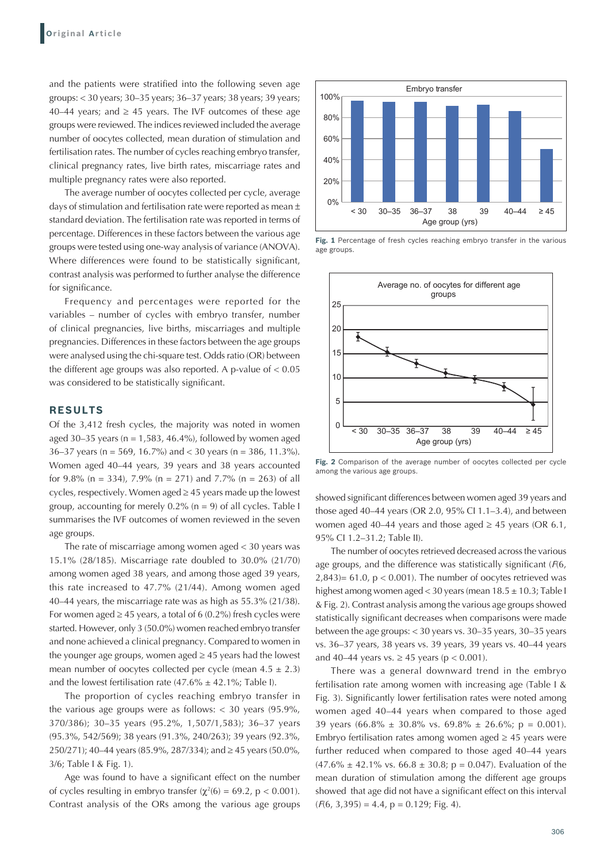and the patients were stratified into the following seven age groups: < 30 years; 30–35 years; 36–37 years; 38 years; 39 years; 40–44 years; and  $\geq$  45 years. The IVF outcomes of these age groups were reviewed. The indices reviewed included the average number of oocytes collected, mean duration of stimulation and fertilisation rates. The number of cycles reaching embryo transfer, clinical pregnancy rates, live birth rates, miscarriage rates and multiple pregnancy rates were also reported.

The average number of oocytes collected per cycle, average days of stimulation and fertilisation rate were reported as mean ± standard deviation. The fertilisation rate was reported in terms of percentage. Differences in these factors between the various age groups were tested using one-way analysis of variance (ANOVA). Where differences were found to be statistically significant, contrast analysis was performed to further analyse the difference for significance.

Frequency and percentages were reported for the variables – number of cycles with embryo transfer, number of clinical pregnancies, live births, miscarriages and multiple pregnancies. Differences in these factors between the age groups were analysed using the chi-square test. Odds ratio (OR) between the different age groups was also reported. A p-value of  $< 0.05$ was considered to be statistically significant.

# **RESULTS**

Of the 3,412 fresh cycles, the majority was noted in women aged 30–35 years ( $n = 1,583,46.4\%$ ), followed by women aged 36–37 years (n = 569, 16.7%) and < 30 years (n = 386, 11.3%). Women aged 40–44 years, 39 years and 38 years accounted for 9.8% (n = 334), 7.9% (n = 271) and 7.7% (n = 263) of all cycles, respectively. Women aged ≥ 45 years made up the lowest group, accounting for merely  $0.2\%$  (n = 9) of all cycles. Table I summarises the IVF outcomes of women reviewed in the seven age groups.

The rate of miscarriage among women aged < 30 years was 15.1% (28/185). Miscarriage rate doubled to 30.0% (21/70) among women aged 38 years, and among those aged 39 years, this rate increased to 47.7% (21/44). Among women aged 40–44 years, the miscarriage rate was as high as 55.3% (21/38). For women aged  $\geq$  45 years, a total of 6 (0.2%) fresh cycles were started. However, only 3 (50.0%) women reached embryo transfer and none achieved a clinical pregnancy. Compared to women in the younger age groups, women aged  $\geq$  45 years had the lowest mean number of oocytes collected per cycle (mean  $4.5 \pm 2.3$ ) and the lowest fertilisation rate  $(47.6\% \pm 42.1\%)$ ; Table I).

The proportion of cycles reaching embryo transfer in the various age groups were as follows:  $<$  30 years (95.9%, 370/386); 30–35 years (95.2%, 1,507/1,583); 36–37 years (95.3%, 542/569); 38 years (91.3%, 240/263); 39 years (92.3%, 250/271); 40–44 years (85.9%, 287/334); and ≥ 45 years (50.0%, 3/6; Table I & Fig. 1).

Age was found to have a significant effect on the number of cycles resulting in embryo transfer ( $\chi^2(6) = 69.2$ , p < 0.001). Contrast analysis of the ORs among the various age groups



Fig. 1 Percentage of fresh cycles reaching embryo transfer in the various age groups.



Fig. 2 Comparison of the average number of oocytes collected per cycle among the various age groups.

showed significant differences between women aged 39 years and those aged 40–44 years (OR 2.0, 95% CI 1.1–3.4), and between women aged 40–44 years and those aged  $\geq$  45 years (OR 6.1, 95% CI 1.2–31.2; Table II).

The number of oocytes retrieved decreased across the various age groups, and the difference was statistically significant (*F*(6,  $(2,843)= 61.0$ ,  $p < 0.001$ ). The number of oocytes retrieved was highest among women aged < 30 years (mean 18.5 ± 10.3; Table I & Fig. 2). Contrast analysis among the various age groups showed statistically significant decreases when comparisons were made between the age groups: < 30 years vs. 30–35 years, 30–35 years vs. 36–37 years, 38 years vs. 39 years, 39 years vs. 40–44 years and 40–44 years vs.  $\geq$  45 years (p < 0.001).

There was a general downward trend in the embryo fertilisation rate among women with increasing age (Table I & Fig. 3). Significantly lower fertilisation rates were noted among women aged 40–44 years when compared to those aged 39 years (66.8%  $\pm$  30.8% vs. 69.8%  $\pm$  26.6%; p = 0.001). Embryo fertilisation rates among women aged  $\geq$  45 years were further reduced when compared to those aged 40–44 years  $(47.6\% \pm 42.1\% \text{ vs. } 66.8 \pm 30.8; \text{ p} = 0.047)$ . Evaluation of the mean duration of stimulation among the different age groups showed that age did not have a significant effect on this interval  $(F(6, 3, 395) = 4.4, p = 0.129; Fig. 4)$ .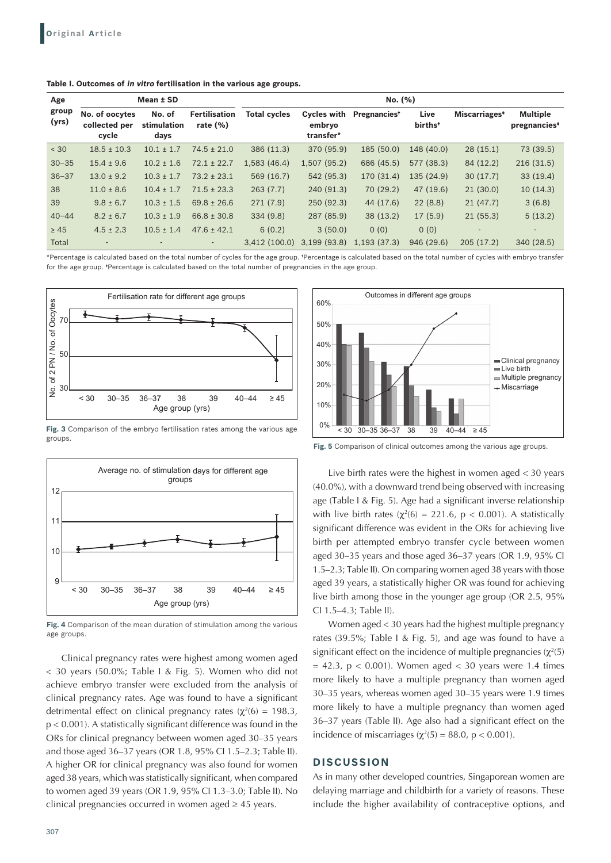| Age            | Mean ± SD                                |                               |                                    | No. (%)             |                                           |                          |                             |                           |                                             |
|----------------|------------------------------------------|-------------------------------|------------------------------------|---------------------|-------------------------------------------|--------------------------|-----------------------------|---------------------------|---------------------------------------------|
| group<br>(yrs) | No. of oocytes<br>collected per<br>cycle | No. of<br>stimulation<br>days | <b>Fertilisation</b><br>rate $(%)$ | <b>Total cycles</b> | <b>Cycles with</b><br>embryo<br>transfer* | Pregnancies <sup>+</sup> | Live<br>births <sup>+</sup> | Miscarriages <sup>*</sup> | <b>Multiple</b><br>pregnancies <sup>*</sup> |
| < 30           | $18.5 \pm 10.3$                          | $10.1 \pm 1.7$                | $74.5 \pm 21.0$                    | 386 (11.3)          | 370 (95.9)                                | 185 (50.0)               | 148 (40.0)                  | 28(15.1)                  | 73 (39.5)                                   |
| $30 - 35$      | $15.4 \pm 9.6$                           | $10.2 \pm 1.6$                | $72.1 \pm 22.7$                    | 1,583(46.4)         | 1,507(95.2)                               | 686 (45.5)               | 577 (38.3)                  | 84 (12.2)                 | 216(31.5)                                   |
| $36 - 37$      | $13.0 \pm 9.2$                           | $10.3 \pm 1.7$                | $73.2 \pm 23.1$                    | 569 (16.7)          | 542 (95.3)                                | 170 (31.4)               | 135 (24.9)                  | 30(17.7)                  | 33(19.4)                                    |
| 38             | $11.0 \pm 8.6$                           | $10.4 \pm 1.7$                | $71.5 \pm 23.3$                    | 263(7.7)            | 240 (91.3)                                | 70 (29.2)                | 47 (19.6)                   | 21(30.0)                  | 10(14.3)                                    |
| 39             | $9.8 \pm 6.7$                            | $10.3 \pm 1.5$                | $69.8 \pm 26.6$                    | 271(7.9)            | 250(92.3)                                 | 44 (17.6)                | 22(8.8)                     | 21(47.7)                  | 3(6.8)                                      |
| $40 - 44$      | $8.2 \pm 6.7$                            | $10.3 \pm 1.9$                | $66.8 \pm 30.8$                    | 334(9.8)            | 287 (85.9)                                | 38(13.2)                 | 17(5.9)                     | 21(55.3)                  | 5(13.2)                                     |
| $\geq 45$      | $4.5 \pm 2.3$                            | $10.5 \pm 1.4$                | $47.6 \pm 42.1$                    | 6(0.2)              | 3(50.0)                                   | 0(0)                     | 0(0)                        |                           |                                             |
| Total          |                                          |                               | ۰.                                 | 3.412(100.0)        | 3,199(93.8)                               | 1,193(37.3)              | 946 (29.6)                  | 205(17.2)                 | 340 (28.5)                                  |

**Table I. Outcomes of in vitro fertilisation in the various age groups.**

\*Percentage is calculated based on the total number of cycles for the age group. †Percentage is calculated based on the total number of cycles with embryo transfer for the age group. \*Percentage is calculated based on the total number of pregnancies in the age group.



**Fig. 3** Comparison of the embryo fertilisation rates among the various age groups.



**Fig. 4** Comparison of the mean duration of stimulation among the various age groups.

Clinical pregnancy rates were highest among women aged < 30 years (50.0%; Table I & Fig. 5). Women who did not achieve embryo transfer were excluded from the analysis of clinical pregnancy rates. Age was found to have a significant detrimental effect on clinical pregnancy rates ( $\chi^2(6) = 198.3$ ,  $p < 0.001$ ). A statistically significant difference was found in the ORs for clinical pregnancy between women aged 30–35 years and those aged 36–37 years (OR 1.8, 95% CI 1.5–2.3; Table II). A higher OR for clinical pregnancy was also found for women aged 38 years, which was statistically significant, when compared to women aged 39 years (OR 1.9, 95% CI 1.3–3.0; Table II). No clinical pregnancies occurred in women aged  $\geq$  45 years.



**Fig. 5** Comparison of clinical outcomes among the various age groups.

Live birth rates were the highest in women aged < 30 years (40.0%), with a downward trend being observed with increasing age (Table I & Fig. 5). Age had a significant inverse relationship with live birth rates ( $\chi^2(6) = 221.6$ ,  $p < 0.001$ ). A statistically significant difference was evident in the ORs for achieving live birth per attempted embryo transfer cycle between women aged 30–35 years and those aged 36–37 years (OR 1.9, 95% CI 1.5–2.3; Table II). On comparing women aged 38 years with those aged 39 years, a statistically higher OR was found for achieving live birth among those in the younger age group (OR 2.5, 95% CI 1.5–4.3; Table II).

Women aged < 30 years had the highest multiple pregnancy rates (39.5%; Table I & Fig. 5), and age was found to have a significant effect on the incidence of multiple pregnancies  $(\chi^2(5))$  $= 42.3$ , p < 0.001). Women aged < 30 years were 1.4 times more likely to have a multiple pregnancy than women aged 30–35 years, whereas women aged 30–35 years were 1.9 times more likely to have a multiple pregnancy than women aged 36–37 years (Table II). Age also had a significant effect on the incidence of miscarriages ( $\chi^2(5) = 88.0$ , p < 0.001).

### **DISCUSSION**

As in many other developed countries, Singaporean women are delaying marriage and childbirth for a variety of reasons. These include the higher availability of contraceptive options, and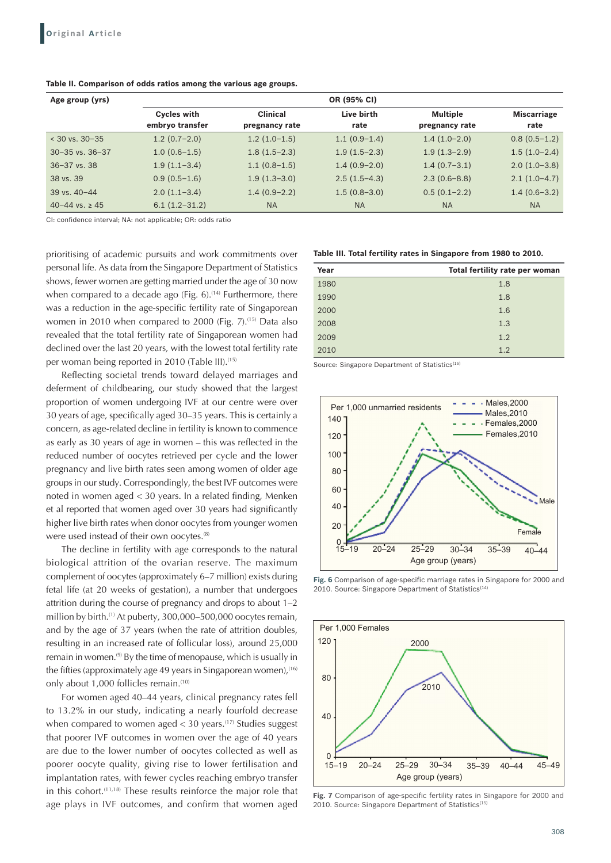| Age group (yrs)         | OR (95% CI)                           |                                   |                    |                                   |                            |  |  |  |
|-------------------------|---------------------------------------|-----------------------------------|--------------------|-----------------------------------|----------------------------|--|--|--|
|                         | <b>Cycles with</b><br>embryo transfer | <b>Clinical</b><br>pregnancy rate | Live birth<br>rate | <b>Multiple</b><br>pregnancy rate | <b>Miscarriage</b><br>rate |  |  |  |
| $<$ 30 vs. 30-35        | $1.2(0.7-2.0)$                        | $1.2(1.0-1.5)$                    | $1.1(0.9-1.4)$     | $1.4(1.0-2.0)$                    | $0.8(0.5-1.2)$             |  |  |  |
| $30 - 35$ vs. $36 - 37$ | $1.0(0.6-1.5)$                        | $1.8(1.5-2.3)$                    | $1.9(1.5-2.3)$     | $1.9(1.3-2.9)$                    | $1.5(1.0-2.4)$             |  |  |  |
| $36 - 37$ vs. 38        | $1.9(1.1-3.4)$                        | $1.1(0.8-1.5)$                    | $1.4(0.9-2.0)$     | $1.4(0.7-3.1)$                    | $2.0(1.0-3.8)$             |  |  |  |
| 38 vs. 39               | $0.9(0.5-1.6)$                        | $1.9(1.3-3.0)$                    | $2.5(1.5-4.3)$     | $2.3(0.6-8.8)$                    | $2.1(1.0-4.7)$             |  |  |  |
| 39 vs. 40-44            | $2.0(1.1-3.4)$                        | $1.4(0.9-2.2)$                    | $1.5(0.8-3.0)$     | $0.5(0.1-2.2)$                    | $1.4(0.6-3.2)$             |  |  |  |
| 40-44 vs. $\geq 45$     | $6.1(1.2-31.2)$                       | <b>NA</b>                         | <b>NA</b>          | <b>NA</b>                         | <b>NA</b>                  |  |  |  |

#### **Table II. Comparison of odds ratios among the various age groups.**

CI: confidence interval; NA: not applicable; OR: odds ratio

prioritising of academic pursuits and work commitments over personal life. As data from the Singapore Department of Statistics shows, fewer women are getting married under the age of 30 now when compared to a decade ago (Fig. 6).<sup>(14)</sup> Furthermore, there was a reduction in the age-specific fertility rate of Singaporean women in 2010 when compared to 2000 (Fig. 7).<sup>(15)</sup> Data also revealed that the total fertility rate of Singaporean women had declined over the last 20 years, with the lowest total fertility rate per woman being reported in 2010 (Table III).<sup>(15)</sup>

Reflecting societal trends toward delayed marriages and deferment of childbearing, our study showed that the largest proportion of women undergoing IVF at our centre were over 30 years of age, specifically aged 30–35 years. This is certainly a concern, as age-related decline in fertility is known to commence as early as 30 years of age in women – this was reflected in the reduced number of oocytes retrieved per cycle and the lower pregnancy and live birth rates seen among women of older age groups in our study. Correspondingly, the best IVF outcomes were noted in women aged < 30 years. In a related finding, Menken et al reported that women aged over 30 years had significantly higher live birth rates when donor oocytes from younger women were used instead of their own oocytes.<sup>(8)</sup>

The decline in fertility with age corresponds to the natural biological attrition of the ovarian reserve. The maximum complement of oocytes (approximately 6–7 million) exists during fetal life (at 20 weeks of gestation), a number that undergoes attrition during the course of pregnancy and drops to about 1–2 million by birth.<sup>(1)</sup> At puberty, 300,000-500,000 oocytes remain, and by the age of 37 years (when the rate of attrition doubles, resulting in an increased rate of follicular loss), around 25,000 remain in women.<sup>(9)</sup> By the time of menopause, which is usually in the fifties (approximately age 49 years in Singaporean women), $(16)$ only about 1,000 follicles remain.<sup>(10)</sup>

For women aged 40–44 years, clinical pregnancy rates fell to 13.2% in our study, indicating a nearly fourfold decrease when compared to women aged  $<$  30 years.<sup>(17)</sup> Studies suggest that poorer IVF outcomes in women over the age of 40 years are due to the lower number of oocytes collected as well as poorer oocyte quality, giving rise to lower fertilisation and implantation rates, with fewer cycles reaching embryo transfer in this cohort.(11,18) These results reinforce the major role that age plays in IVF outcomes, and confirm that women aged

| Year | Total fertility rate per woman |
|------|--------------------------------|
| 1980 | 1.8                            |
| 1990 | 1.8                            |
| 2000 | 1.6                            |
| 2008 | 1.3                            |
| 2009 | 1.2                            |
| 2010 | 1.2                            |

Source: Singapore Department of Statistics<sup>(15)</sup>



**Fig. 6** Comparison of age-specific marriage rates in Singapore for 2000 and 2010. Source: Singapore Department of Statistics<sup>(14)</sup>



**Fig. 7** Comparison of age-specific fertility rates in Singapore for 2000 and 2010. Source: Singapore Department of Statistics<sup>(15)</sup>